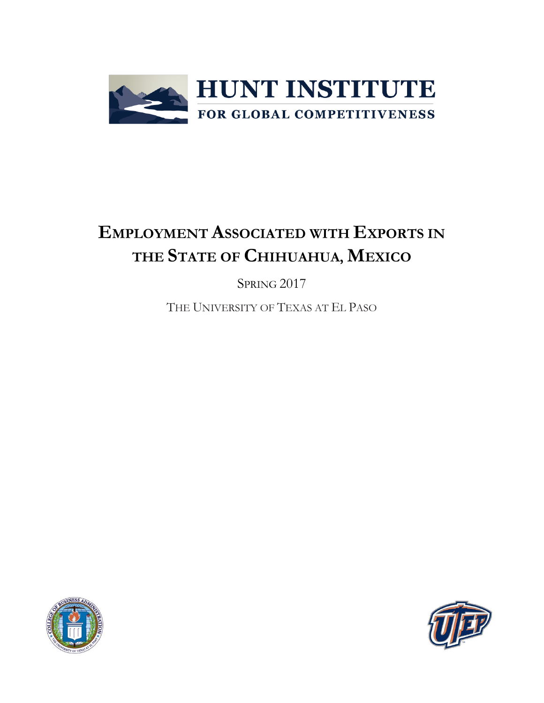

# **EMPLOYMENT ASSOCIATED WITH EXPORTS IN THE STATE OF CHIHUAHUA, MEXICO**

SPRING 2017

THE UNIVERSITY OF TEXAS AT EL PASO



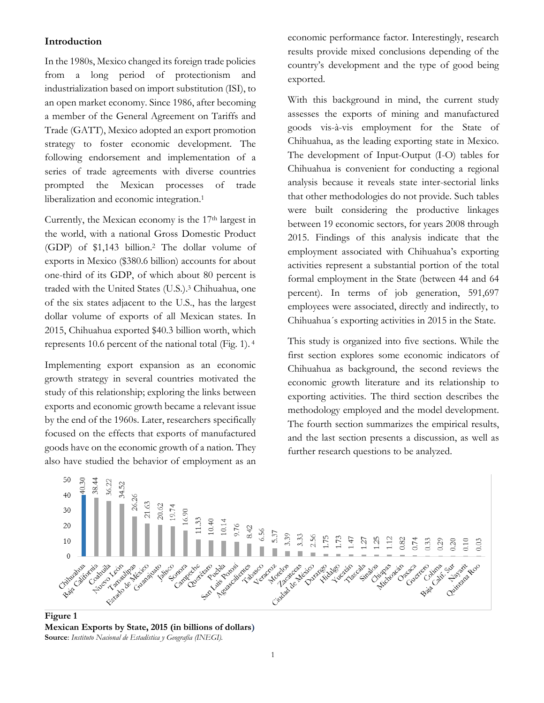## **Introduction**

In the 1980s, Mexico changed its foreign trade policies from a long period of protectionism and industrialization based on import substitution (ISI), to an open market economy. Since 1986, after becoming a member of the General Agreement on Tariffs and Trade (GATT), Mexico adopted an export promotion strategy to foster economic development. The following endorsement and implementation of a series of trade agreements with diverse countries prompted the Mexican processes of trade liberalization and economic integration.<sup>1</sup>

Currently, the Mexican economy is the 17<sup>th</sup> largest in the world, with a national Gross Domestic Product (GDP) of \$1,143 billion.<sup>2</sup> The dollar volume of exports in Mexico (\$380.6 billion) accounts for about one-third of its GDP, of which about 80 percent is traded with the United States (U.S.). <sup>3</sup> Chihuahua, one of the six states adjacent to the U.S., has the largest dollar volume of exports of all Mexican states. In 2015, Chihuahua exported \$40.3 billion worth, which represents 10.6 percent of the national total (Fig. 1). <sup>4</sup>

Implementing export expansion as an economic growth strategy in several countries motivated the study of this relationship; exploring the links between exports and economic growth became a relevant issue by the end of the 1960s. Later, researchers specifically focused on the effects that exports of manufactured goods have on the economic growth of a nation. They also have studied the behavior of employment as an

economic performance factor. Interestingly, research results provide mixed conclusions depending of the country's development and the type of good being exported.

With this background in mind, the current study assesses the exports of mining and manufactured goods vis-à-vis employment for the State of Chihuahua, as the leading exporting state in Mexico. The development of Input-Output (I-O) tables for Chihuahua is convenient for conducting a regional analysis because it reveals state inter-sectorial links that other methodologies do not provide. Such tables were built considering the productive linkages between 19 economic sectors, for years 2008 through 2015. Findings of this analysis indicate that the employment associated with Chihuahua's exporting activities represent a substantial portion of the total formal employment in the State (between 44 and 64 percent). In terms of job generation, 591,697 employees were associated, directly and indirectly, to Chihuahua´s exporting activities in 2015 in the State.

This study is organized into five sections. While the first section explores some economic indicators of Chihuahua as background, the second reviews the economic growth literature and its relationship to exporting activities. The third section describes the methodology employed and the model development. The fourth section summarizes the empirical results, and the last section presents a discussion, as well as further research questions to be analyzed.



**Figure 1 Mexican Exports by State, 2015 (in billions of dollars) Source**: *Instituto Nacional de Estadística y Geografía (INEGI).*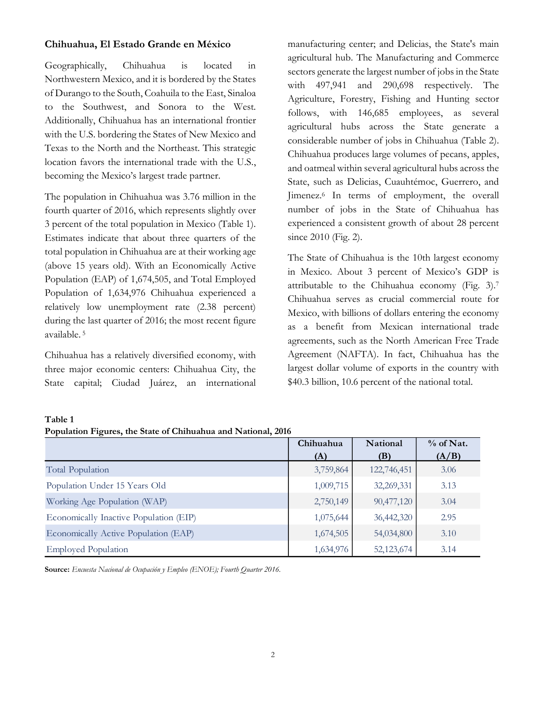## **Chihuahua, El Estado Grande en México**

Geographically, Chihuahua is located in Northwestern Mexico, and it is bordered by the States of Durango to the South, Coahuila to the East, Sinaloa to the Southwest, and Sonora to the West. Additionally, Chihuahua has an international frontier with the U.S. bordering the States of New Mexico and Texas to the North and the Northeast. This strategic location favors the international trade with the U.S., becoming the Mexico's largest trade partner.

The population in Chihuahua was 3.76 million in the fourth quarter of 2016, which represents slightly over 3 percent of the total population in Mexico (Table 1). Estimates indicate that about three quarters of the total population in Chihuahua are at their working age (above 15 years old). With an Economically Active Population (EAP) of 1,674,505, and Total Employed Population of 1,634,976 Chihuahua experienced a relatively low unemployment rate (2.38 percent) during the last quarter of 2016; the most recent figure available. <sup>5</sup>

Chihuahua has a relatively diversified economy, with three major economic centers: Chihuahua City, the State capital; Ciudad Juárez, an international manufacturing center; and Delicias, the State's main agricultural hub. The Manufacturing and Commerce sectors generate the largest number of jobs in the State with 497,941 and 290,698 respectively. The Agriculture, Forestry, Fishing and Hunting sector follows, with 146,685 employees, as several agricultural hubs across the State generate a considerable number of jobs in Chihuahua (Table 2). Chihuahua produces large volumes of pecans, apples, and oatmeal within several agricultural hubs across the State, such as Delicias, Cuauhtémoc, Guerrero, and Jimenez. <sup>6</sup> In terms of employment, the overall number of jobs in the State of Chihuahua has experienced a consistent growth of about 28 percent since 2010 (Fig. 2).

The State of Chihuahua is the 10th largest economy in Mexico. About 3 percent of Mexico's GDP is attributable to the Chihuahua economy (Fig. 3).<sup>7</sup> Chihuahua serves as crucial commercial route for Mexico, with billions of dollars entering the economy as a benefit from Mexican international trade agreements, such as the North American Free Trade Agreement (NAFTA). In fact, Chihuahua has the largest dollar volume of exports in the country with \$40.3 billion, 10.6 percent of the national total.

#### **Table 1**

**Population Figures, the State of Chihuahua and National, 2016**

|                                        | Chihuahua | National    | $%$ of Nat. |
|----------------------------------------|-----------|-------------|-------------|
|                                        | (A)       | (B)         | (A/B)       |
| <b>Total Population</b>                | 3,759,864 | 122,746,451 | 3.06        |
| Population Under 15 Years Old          | 1,009,715 | 32,269,331  | 3.13        |
| Working Age Population (WAP)           | 2,750,149 | 90,477,120  | 3.04        |
| Economically Inactive Population (EIP) | 1,075,644 | 36,442,320  | 2.95        |
| Economically Active Population (EAP)   | 1,674,505 | 54,034,800  | 3.10        |
| <b>Employed Population</b>             | 1,634,976 | 52,123,674  | 3.14        |

**Source:** *Encuesta Nacional de Ocupación y Empleo (ENOE); Fourth Quarter 2016.*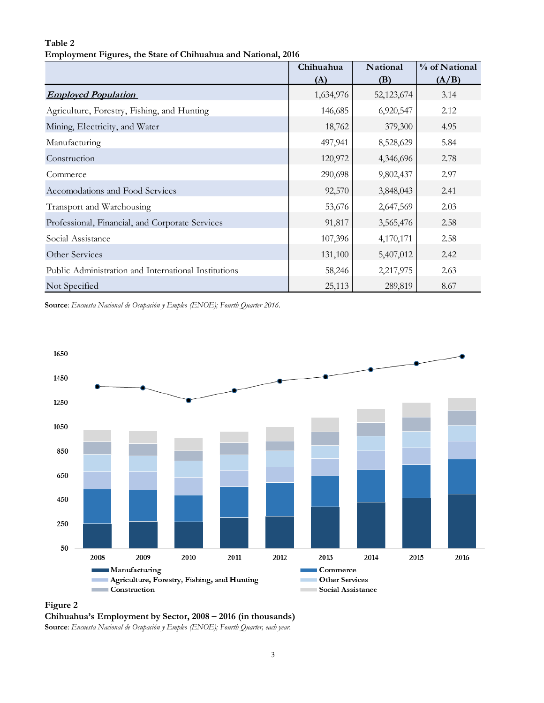### **Table 2 Employment Figures, the State of Chihuahua and National, 2016**

|                                                      | Chihuahua | National   | % of National |
|------------------------------------------------------|-----------|------------|---------------|
|                                                      | (A)       | (B)        | (A/B)         |
| <b>Employed Population</b>                           | 1,634,976 | 52,123,674 | 3.14          |
| Agriculture, Forestry, Fishing, and Hunting          | 146,685   | 6,920,547  | 2.12          |
| Mining, Electricity, and Water                       | 18,762    | 379,300    | 4.95          |
| Manufacturing                                        | 497,941   | 8,528,629  | 5.84          |
| Construction                                         | 120,972   | 4,346,696  | 2.78          |
| Commerce                                             | 290,698   | 9,802,437  | 2.97          |
| Accomodations and Food Services                      | 92,570    | 3,848,043  | 2.41          |
| Transport and Warehousing                            | 53,676    | 2,647,569  | 2.03          |
| Professional, Financial, and Corporate Services      | 91,817    | 3,565,476  | 2.58          |
| Social Assistance                                    | 107,396   | 4,170,171  | 2.58          |
| Other Services                                       | 131,100   | 5,407,012  | 2.42          |
| Public Administration and International Institutions | 58,246    | 2,217,975  | 2.63          |
| Not Specified                                        | 25,113    | 289,819    | 8.67          |

**Source**: *Encuesta Nacional de Ocupación y Empleo (ENOE); Fourth Quarter 2016.*



**Figure 2**

**Chihuahua's Employment by Sector, 2008 – 2016 (in thousands)**

**Source**: *Encuesta Nacional de Ocupación y Empleo (ENOE); Fourth Quarter, each year.*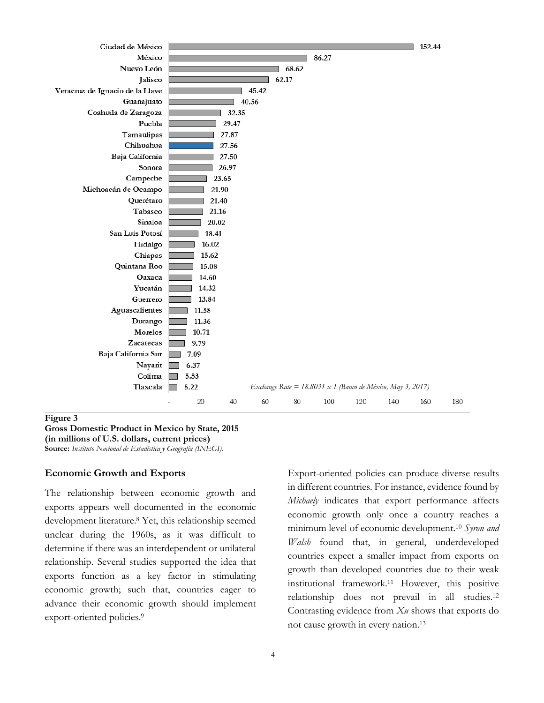

#### **Figure 3**

**Gross Domestic Product in Mexico by State, 2015 (in millions of U.S. dollars, current prices) Source:** *Instituto Nacional de Estadística y Geografía (INEGI).*

#### **Economic Growth and Exports**

The relationship between economic growth and exports appears well documented in the economic development literature. <sup>8</sup> Yet, this relationship seemed unclear during the 1960s, as it was difficult to determine if there was an interdependent or unilateral relationship. Several studies supported the idea that exports function as a key factor in stimulating economic growth; such that, countries eager to advance their economic growth should implement export-oriented policies.<sup>9</sup>

Export-oriented policies can produce diverse results in different countries. For instance, evidence found by *Michaely* indicates that export performance affects economic growth only once a country reaches a minimum level of economic development. <sup>10</sup> *Syron and Walsh* found that, in general, underdeveloped countries expect a smaller impact from exports on growth than developed countries due to their weak institutional framework.<sup>11</sup> However, this positive relationship does not prevail in all studies. 12 Contrasting evidence from *Xu* shows that exports do not cause growth in every nation. 13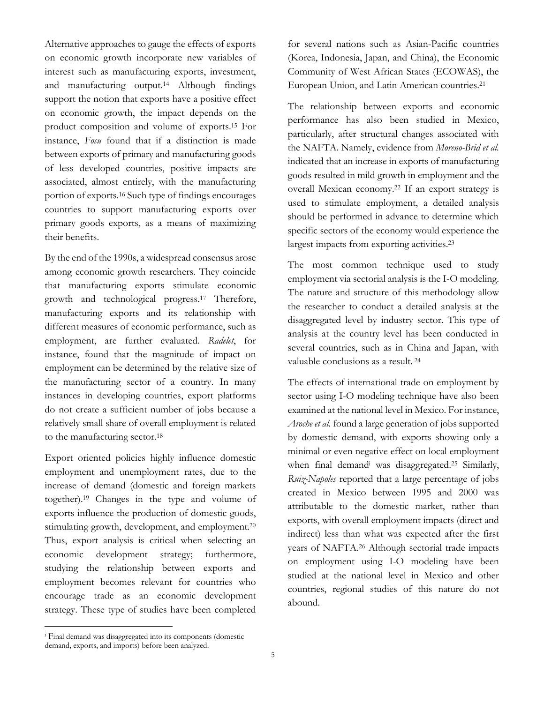Alternative approaches to gauge the effects of exports on economic growth incorporate new variables of interest such as manufacturing exports, investment, and manufacturing output. <sup>14</sup> Although findings support the notion that exports have a positive effect on economic growth, the impact depends on the product composition and volume of exports.<sup>15</sup> For instance, *Fosu* found that if a distinction is made between exports of primary and manufacturing goods of less developed countries, positive impacts are associated, almost entirely, with the manufacturing portion of exports.<sup>16</sup> Such type of findings encourages countries to support manufacturing exports over primary goods exports, as a means of maximizing their benefits.

By the end of the 1990s, a widespread consensus arose among economic growth researchers. They coincide that manufacturing exports stimulate economic growth and technological progress. <sup>17</sup> Therefore, manufacturing exports and its relationship with different measures of economic performance, such as employment, are further evaluated. *Radelet*, for instance, found that the magnitude of impact on employment can be determined by the relative size of the manufacturing sector of a country. In many instances in developing countries, export platforms do not create a sufficient number of jobs because a relatively small share of overall employment is related to the manufacturing sector. 18

Export oriented policies highly influence domestic employment and unemployment rates, due to the increase of demand (domestic and foreign markets together). <sup>19</sup> Changes in the type and volume of exports influence the production of domestic goods, stimulating growth, development, and employment.<sup>20</sup> Thus, export analysis is critical when selecting an economic development strategy; furthermore, studying the relationship between exports and employment becomes relevant for countries who encourage trade as an economic development strategy. These type of studies have been completed

for several nations such as Asian-Pacific countries (Korea, Indonesia, Japan, and China), the Economic Community of West African States (ECOWAS), the European Union, and Latin American countries. 21

The relationship between exports and economic performance has also been studied in Mexico, particularly, after structural changes associated with the NAFTA. Namely, evidence from *Moreno-Brid et al.* indicated that an increase in exports of manufacturing goods resulted in mild growth in employment and the overall Mexican economy. <sup>22</sup> If an export strategy is used to stimulate employment, a detailed analysis should be performed in advance to determine which specific sectors of the economy would experience the largest impacts from exporting activities. 23

The most common technique used to study employment via sectorial analysis is the I-O modeling. The nature and structure of this methodology allow the researcher to conduct a detailed analysis at the disaggregated level by industry sector. This type of analysis at the country level has been conducted in several countries, such as in China and Japan, with valuable conclusions as a result. 24

The effects of international trade on employment by sector using I-O modeling technique have also been examined at the national level in Mexico. For instance, *Aroche et al.* found a large generation of jobs supported by domestic demand, with exports showing only a minimal or even negative effect on local employment when final demand<sup>i</sup> was disaggregated. <sup>25</sup> Similarly, *Ruiz-Napoles* reported that a large percentage of jobs created in Mexico between 1995 and 2000 was attributable to the domestic market, rather than exports, with overall employment impacts (direct and indirect) less than what was expected after the first years of NAFTA. <sup>26</sup> Although sectorial trade impacts on employment using I-O modeling have been studied at the national level in Mexico and other countries, regional studies of this nature do not abound.

 $\overline{a}$ 

<sup>i</sup> Final demand was disaggregated into its components (domestic demand, exports, and imports) before been analyzed.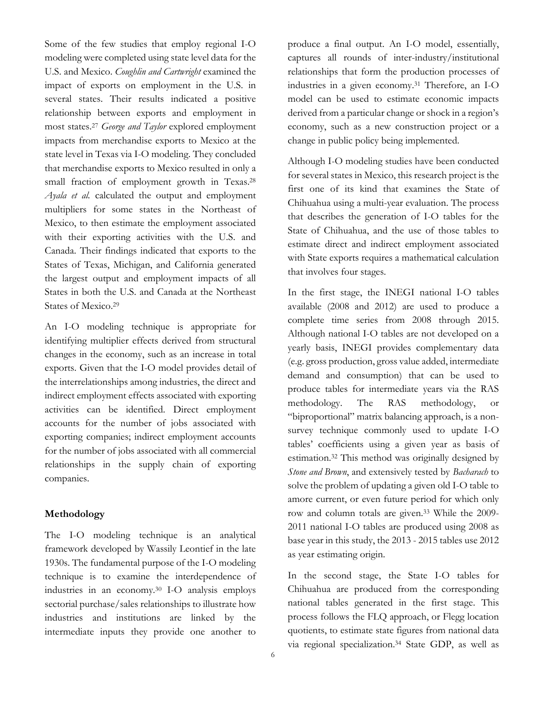Some of the few studies that employ regional I-O modeling were completed using state level data for the U.S. and Mexico. *Coughlin and Cartwright* examined the impact of exports on employment in the U.S. in several states. Their results indicated a positive relationship between exports and employment in most states. <sup>27</sup> *George and Taylor* explored employment impacts from merchandise exports to Mexico at the state level in Texas via I-O modeling. They concluded that merchandise exports to Mexico resulted in only a small fraction of employment growth in Texas.<sup>28</sup> *Ayala et al.* calculated the output and employment multipliers for some states in the Northeast of Mexico, to then estimate the employment associated with their exporting activities with the U.S. and Canada. Their findings indicated that exports to the States of Texas, Michigan, and California generated the largest output and employment impacts of all States in both the U.S. and Canada at the Northeast States of Mexico. 29

An I-O modeling technique is appropriate for identifying multiplier effects derived from structural changes in the economy, such as an increase in total exports. Given that the I-O model provides detail of the interrelationships among industries, the direct and indirect employment effects associated with exporting activities can be identified. Direct employment accounts for the number of jobs associated with exporting companies; indirect employment accounts for the number of jobs associated with all commercial relationships in the supply chain of exporting companies.

#### **Methodology**

The I-O modeling technique is an analytical framework developed by Wassily Leontief in the late 1930s. The fundamental purpose of the I-O modeling technique is to examine the interdependence of industries in an economy.<sup>30</sup> I-O analysis employs sectorial purchase/sales relationships to illustrate how industries and institutions are linked by the intermediate inputs they provide one another to

produce a final output. An I-O model, essentially, captures all rounds of inter-industry/institutional relationships that form the production processes of industries in a given economy. <sup>31</sup> Therefore, an I-O model can be used to estimate economic impacts derived from a particular change or shock in a region's economy, such as a new construction project or a change in public policy being implemented.

Although I-O modeling studies have been conducted for several states in Mexico, this research project is the first one of its kind that examines the State of Chihuahua using a multi-year evaluation. The process that describes the generation of I-O tables for the State of Chihuahua, and the use of those tables to estimate direct and indirect employment associated with State exports requires a mathematical calculation that involves four stages.

In the first stage, the INEGI national I-O tables available (2008 and 2012) are used to produce a complete time series from 2008 through 2015. Although national I-O tables are not developed on a yearly basis, INEGI provides complementary data (e.g. gross production, gross value added, intermediate demand and consumption) that can be used to produce tables for intermediate years via the RAS methodology. The RAS methodology, or "biproportional" matrix balancing approach, is a nonsurvey technique commonly used to update I-O tables' coefficients using a given year as basis of estimation.<sup>32</sup> This method was originally designed by *Stone and Brown*, and extensively tested by *Bacharach* to solve the problem of updating a given old I-O table to amore current, or even future period for which only row and column totals are given.<sup>33</sup> While the 2009- 2011 national I-O tables are produced using 2008 as base year in this study, the 2013 - 2015 tables use 2012 as year estimating origin.

In the second stage, the State I-O tables for Chihuahua are produced from the corresponding national tables generated in the first stage. This process follows the FLQ approach, or Flegg location quotients, to estimate state figures from national data via regional specialization. <sup>34</sup> State GDP, as well as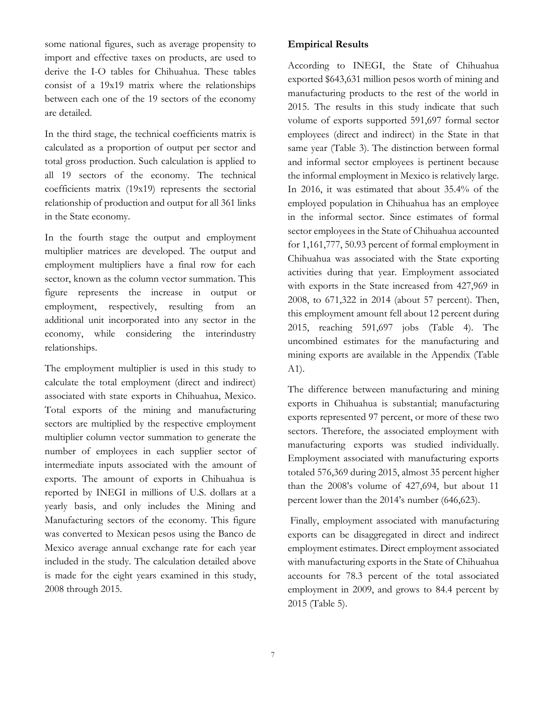some national figures, such as average propensity to import and effective taxes on products, are used to derive the I-O tables for Chihuahua. These tables consist of a 19x19 matrix where the relationships between each one of the 19 sectors of the economy are detailed.

In the third stage, the technical coefficients matrix is calculated as a proportion of output per sector and total gross production. Such calculation is applied to all 19 sectors of the economy. The technical coefficients matrix (19x19) represents the sectorial relationship of production and output for all 361 links in the State economy.

In the fourth stage the output and employment multiplier matrices are developed. The output and employment multipliers have a final row for each sector, known as the column vector summation. This figure represents the increase in output or employment, respectively, resulting from an additional unit incorporated into any sector in the economy, while considering the interindustry relationships.

The employment multiplier is used in this study to calculate the total employment (direct and indirect) associated with state exports in Chihuahua, Mexico. Total exports of the mining and manufacturing sectors are multiplied by the respective employment multiplier column vector summation to generate the number of employees in each supplier sector of intermediate inputs associated with the amount of exports. The amount of exports in Chihuahua is reported by INEGI in millions of U.S. dollars at a yearly basis, and only includes the Mining and Manufacturing sectors of the economy. This figure was converted to Mexican pesos using the Banco de Mexico average annual exchange rate for each year included in the study. The calculation detailed above is made for the eight years examined in this study, 2008 through 2015.

## **Empirical Results**

According to INEGI, the State of Chihuahua exported \$643,631 million pesos worth of mining and manufacturing products to the rest of the world in 2015. The results in this study indicate that such volume of exports supported 591,697 formal sector employees (direct and indirect) in the State in that same year (Table 3). The distinction between formal and informal sector employees is pertinent because the informal employment in Mexico is relatively large. In 2016, it was estimated that about 35.4% of the employed population in Chihuahua has an employee in the informal sector. Since estimates of formal sector employees in the State of Chihuahua accounted for 1,161,777, 50.93 percent of formal employment in Chihuahua was associated with the State exporting activities during that year. Employment associated with exports in the State increased from 427,969 in 2008, to 671,322 in 2014 (about 57 percent). Then, this employment amount fell about 12 percent during 2015, reaching 591,697 jobs (Table 4). The uncombined estimates for the manufacturing and mining exports are available in the Appendix (Table A1).

The difference between manufacturing and mining exports in Chihuahua is substantial; manufacturing exports represented 97 percent, or more of these two sectors. Therefore, the associated employment with manufacturing exports was studied individually. Employment associated with manufacturing exports totaled 576,369 during 2015, almost 35 percent higher than the 2008's volume of 427,694, but about 11 percent lower than the 2014's number (646,623).

Finally, employment associated with manufacturing exports can be disaggregated in direct and indirect employment estimates. Direct employment associated with manufacturing exports in the State of Chihuahua accounts for 78.3 percent of the total associated employment in 2009, and grows to 84.4 percent by 2015 (Table 5).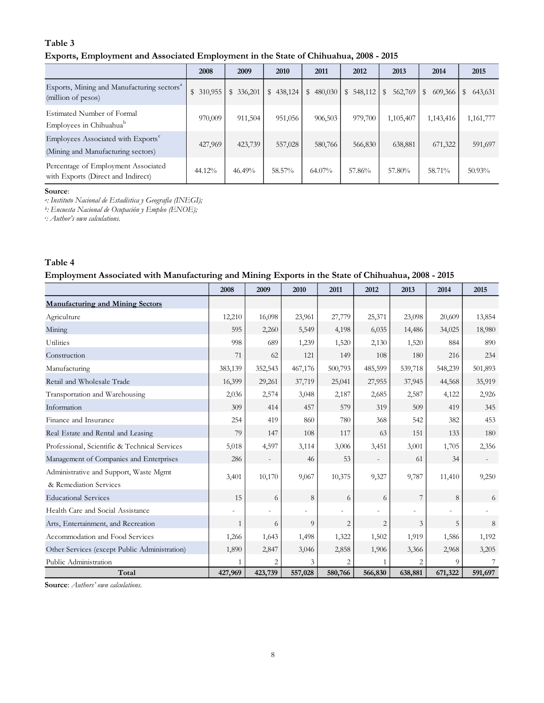## **Table 3**

#### **Exports, Employment and Associated Employment in the State of Chihuahua, 2008 - 2015**

|                                                                                      | 2008                    | 2009       | 2010      | 2011                    | 2012      | 2013                    | 2014         | 2015          |
|--------------------------------------------------------------------------------------|-------------------------|------------|-----------|-------------------------|-----------|-------------------------|--------------|---------------|
| Exports, Mining and Manufacturing sectors <sup>a</sup><br>(million of pesos)         | $\mathbb{S}$<br>310,955 | \$ 336,201 | \$438,124 | $\mathbb{S}$<br>480,030 | \$548,112 | 562,769<br>$\mathbb{S}$ | 609,366<br>S | \$<br>643,631 |
| Estimated Number of Formal<br>Employees in Chihuahua <sup>b</sup>                    | 970,009                 | 911,504    | 951,056   | 906,503                 | 979,700   | 1,105,407               | 1,143,416    | 1,161,777     |
| Employees Associated with Exports <sup>c</sup><br>(Mining and Manufacturing sectors) | 427,969                 | 423,739    | 557,028   | 580,766                 | 566,830   | 638,881                 | 671,322      | 591,697       |
| Percentage of Employment Associated<br>with Exports (Direct and Indirect)            | 44.12%                  | 46.49%     | 58.57%    | 64.07%                  | 57.86%    | 57.80%                  | 58.71%       | 50.93%        |

#### **Source**:

*a : Instituto Nacional de Estadística y Geografía (INEGI);*

*b : Encuesta Nacional de Ocupación y Empleo (ENOE);*

*c : Author's own calculations.*

## **Table 4 Employment Associated with Manufacturing and Mining Exports in the State of Chihuahua, 2008 - 2015**

|                                                                  | 2008           | 2009    | 2010           | 2011           | 2012           | 2013    | 2014                     | 2015    |
|------------------------------------------------------------------|----------------|---------|----------------|----------------|----------------|---------|--------------------------|---------|
| <b>Manufacturing and Mining Sectors</b>                          |                |         |                |                |                |         |                          |         |
| Agriculture                                                      | 12,210         | 16,098  | 23,961         | 27,779         | 25,371         | 23,098  | 20,609                   | 13,854  |
| Mining                                                           | 595            | 2,260   | 5,549          | 4,198          | 6,035          | 14,486  | 34,025                   | 18,980  |
| Utilities                                                        | 998            | 689     | 1,239          | 1,520          | 2,130          | 1,520   | 884                      | 890     |
| Construction                                                     | 71             | 62      | 121            | 149            | 108            | 180     | 216                      | 234     |
| Manufacturing                                                    | 383,139        | 352,543 | 467,176        | 500,793        | 485,599        | 539,718 | 548,239                  | 501,893 |
| Retail and Wholesale Trade                                       | 16,399         | 29,261  | 37,719         | 25,041         | 27,955         | 37,945  | 44,568                   | 35,919  |
| Transportation and Warehousing                                   | 2,036          | 2,574   | 3,048          | 2,187          | 2,685          | 2,587   | 4,122                    | 2,926   |
| Information                                                      | 309            | 414     | 457            | 579            | 319            | 509     | 419                      | 345     |
| Finance and Insurance                                            | 254            | 419     | 860            | 780            | 368            | 542     | 382                      | 453     |
| Real Estate and Rental and Leasing                               | 79             | 147     | 108            | 117            | 63             | 151     | 133                      | 180     |
| Professional, Scientific & Technical Services                    | 5,018          | 4,597   | 3,114          | 3,006          | 3,451          | 3,001   | 1,705                    | 2,356   |
| Management of Companies and Enterprises                          | 286            |         | 46             | 53             |                | 61      | 34                       |         |
| Administrative and Support, Waste Mgmt<br>& Remediation Services | 3,401          | 10,170  | 9,067          | 10,375         | 9,327          | 9,787   | 11,410                   | 9,250   |
| <b>Educational Services</b>                                      | 15             | 6       | 8              | 6              | 6              | 7       | 8                        | 6       |
| Health Care and Social Assistance                                | $\overline{a}$ | ÷.      | $\overline{a}$ | $\overline{a}$ |                |         | $\overline{\phantom{a}}$ |         |
| Arts, Entertainment, and Recreation                              | 1              | 6       | 9              | $\overline{2}$ | $\overline{2}$ | 3       | 5                        | 8       |
| Accommodation and Food Services                                  | 1,266          | 1,643   | 1,498          | 1,322          | 1,502          | 1,919   | 1,586                    | 1,192   |
| Other Services (except Public Administration)                    | 1,890          | 2,847   | 3,046          | 2,858          | 1,906          | 3,366   | 2,968                    | 3,205   |
| Public Administration                                            |                | 2       | 3              | $\overline{2}$ |                |         |                          |         |
| Total                                                            | 427,969        | 423,739 | 557,028        | 580,766        | 566,830        | 638,881 | 671,322                  | 591,697 |

**Source**: *Authors' own calculations.*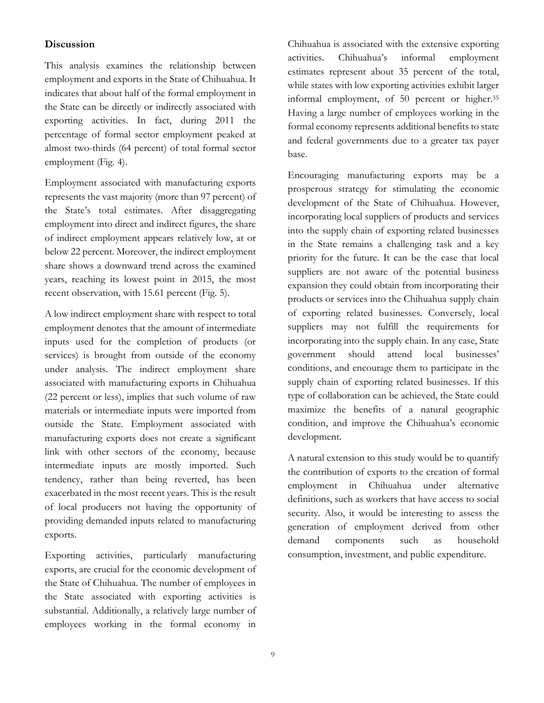## **Discussion**

This analysis examines the relationship between employment and exports in the State of Chihuahua. It indicates that about half of the formal employment in the State can be directly or indirectly associated with exporting activities. In fact, during 2011 the percentage of formal sector employment peaked at almost two-thirds (64 percent) of total formal sector employment (Fig. 4).

Employment associated with manufacturing exports represents the vast majority (more than 97 percent) of the State's total estimates. After disaggregating employment into direct and indirect figures, the share of indirect employment appears relatively low, at or below 22 percent. Moreover, the indirect employment share shows a downward trend across the examined years, reaching its lowest point in 2015, the most recent observation, with 15.61 percent (Fig. 5).

A low indirect employment share with respect to total employment denotes that the amount of intermediate inputs used for the completion of products (or services) is brought from outside of the economy under analysis. The indirect employment share associated with manufacturing exports in Chihuahua (22 percent or less), implies that such volume of raw materials or intermediate inputs were imported from outside the State. Employment associated with manufacturing exports does not create a significant link with other sectors of the economy, because intermediate inputs are mostly imported. Such tendency, rather than being reverted, has been exacerbated in the most recent years. This is the result of local producers not having the opportunity of providing demanded inputs related to manufacturing exports.

Exporting activities, particularly manufacturing exports, are crucial for the economic development of the State of Chihuahua. The number of employees in the State associated with exporting activities is substantial. Additionally, a relatively large number of employees working in the formal economy in

Chihuahua is associated with the extensive exporting activities. Chihuahua's informal employment estimates represent about 35 percent of the total, while states with low exporting activities exhibit larger informal employment, of 50 percent or higher.<sup>35</sup> Having a large number of employees working in the formal economy represents additional benefits to state and federal governments due to a greater tax payer base.

Encouraging manufacturing exports may be a prosperous strategy for stimulating the economic development of the State of Chihuahua. However, incorporating local suppliers of products and services into the supply chain of exporting related businesses in the State remains a challenging task and a key priority for the future. It can be the case that local suppliers are not aware of the potential business expansion they could obtain from incorporating their products or services into the Chihuahua supply chain of exporting related businesses. Conversely, local suppliers may not fulfill the requirements for incorporating into the supply chain. In any case, State government should attend local businesses' conditions, and encourage them to participate in the supply chain of exporting related businesses. If this type of collaboration can be achieved, the State could maximize the benefits of a natural geographic condition, and improve the Chihuahua's economic development.

A natural extension to this study would be to quantify the contribution of exports to the creation of formal employment in Chihuahua under alternative definitions, such as workers that have access to social security. Also, it would be interesting to assess the generation of employment derived from other demand components such as household consumption, investment, and public expenditure.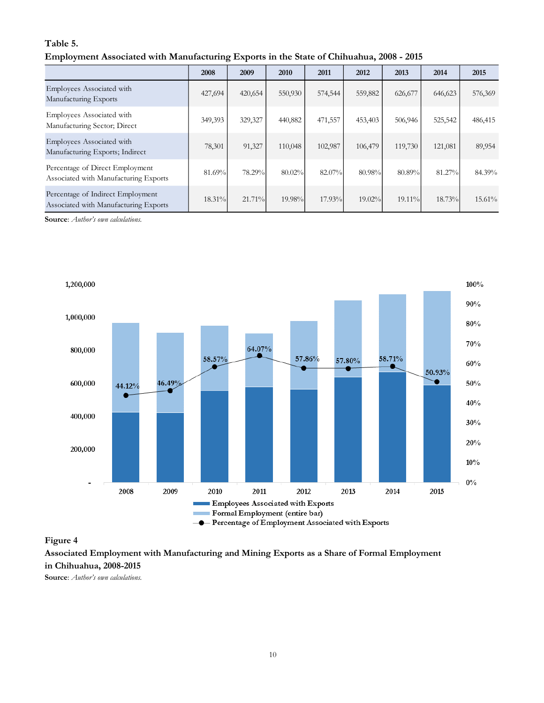### **Table 5.**

|  |  | Employment Associated with Manufacturing Exports in the State of Chihuahua, 2008 - 2015 |  |
|--|--|-----------------------------------------------------------------------------------------|--|
|  |  |                                                                                         |  |

|                                                                            | 2008    | 2009    | 2010    | 2011    | 2012    | 2013    | 2014    | 2015    |
|----------------------------------------------------------------------------|---------|---------|---------|---------|---------|---------|---------|---------|
| Employees Associated with<br>Manufacturing Exports                         | 427,694 | 420,654 | 550,930 | 574,544 | 559,882 | 626,677 | 646,623 | 576,369 |
| Employees Associated with<br>Manufacturing Sector; Direct                  | 349,393 | 329,327 | 440,882 | 471,557 | 453,403 | 506,946 | 525,542 | 486,415 |
| Employees Associated with<br>Manufacturing Exports; Indirect               | 78,301  | 91,327  | 110,048 | 102,987 | 106,479 | 119,730 | 121,081 | 89,954  |
| Percentage of Direct Employment<br>Associated with Manufacturing Exports   | 81.69%  | 78.29%  | 80.02%  | 82.07%  | 80.98%  | 80.89%  | 81.27%  | 84.39%  |
| Percentage of Indirect Employment<br>Associated with Manufacturing Exports | 18.31%  | 21.71%  | 19.98%  | 17.93%  | 19.02%  | 19.11%  | 18.73%  | 15.61%  |

**Source**: *Author's own calculations.*



#### **Figure 4**

**Associated Employment with Manufacturing and Mining Exports as a Share of Formal Employment in Chihuahua, 2008-2015**

**Source**: *Author's own calculations.*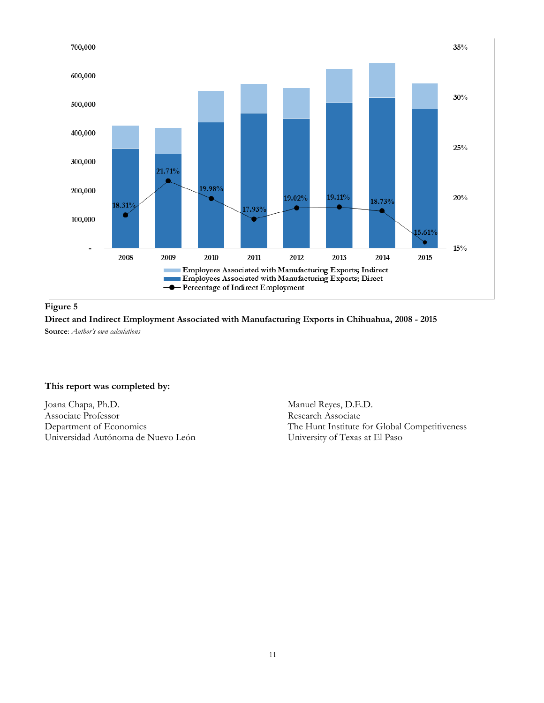

**Figure 5**

**Direct and Indirect Employment Associated with Manufacturing Exports in Chihuahua, 2008 - 2015 Source**: *Author's own calculations*

#### **This report was completed by:**

Joana Chapa, Ph.D. Associate Professor Department of Economics Universidad Autónoma de Nuevo León

Manuel Reyes, D.E.D. Research Associate The Hunt Institute for Global Competitiveness University of Texas at El Paso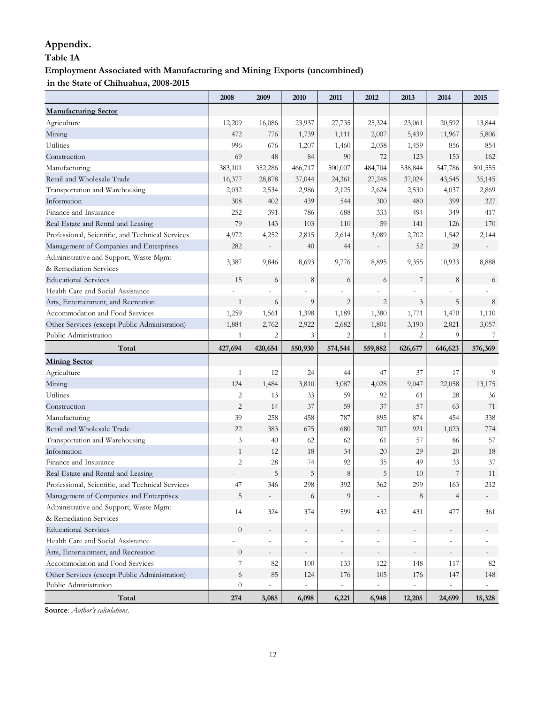## **Appendix.**

## **Table 1A**

# **Employment Associated with Manufacturing and Mining Exports (uncombined)**

**in the State of Chihuahua, 2008-2015**

|                                                  | 2008             | 2009           | 2010    | 2011           | 2012           | 2013                     | 2014    | 2015    |
|--------------------------------------------------|------------------|----------------|---------|----------------|----------------|--------------------------|---------|---------|
| <b>Manufacturing Sector</b>                      |                  |                |         |                |                |                          |         |         |
| Agriculture                                      | 12,209           | 16,086         | 23,937  | 27,735         | 25,324         | 23,061                   | 20,592  | 13,844  |
| Mining                                           | 472              | 776            | 1,739   | 1,111          | 2,007          | 5,439                    | 11,967  | 5,806   |
| <b>Utilities</b>                                 | 996              | 676            | 1,207   | 1,460          | 2,038          | 1,459                    | 856     | 854     |
| Construction                                     | 69               | 48             | 84      | 90             | 72             | 123                      | 153     | 162     |
| Manufacturing                                    | 383,101          | 352,286        | 466,717 | 500,007        | 484,704        | 538,844                  | 547,786 | 501,555 |
| Retail and Wholesale Trade                       | 16,377           | 28,878         | 37,044  | 24,361         | 27,248         | 37,024                   | 43,545  | 35,145  |
| Transportation and Warehousing                   | 2,032            | 2,534          | 2,986   | 2,125          | 2,624          | 2,530                    | 4,037   | 2,869   |
| Information                                      | 308              | 402            | 439     | 544            | 300            | 480                      | 399     | 327     |
| Finance and Insurance                            | 252              | 391            | 786     | 688            | 333            | 494                      | 349     | 417     |
| Real Estate and Rental and Leasing               | 79               | 143            | 103     | 110            | 59             | 141                      | 126     | 170     |
| Professional, Scientific, and Technical Services | 4,972            | 4,252          | 2,815   | 2,614          | 3,089          | 2,702                    | 1,542   | 2,144   |
| Management of Companies and Enterprises          | 282              |                | 40      | 44             |                | 52                       | 29      |         |
| Administrative and Support, Waste Mgmt           | 3,387            | 9,846          | 8,693   | 9,776          | 8,895          | 9,355                    | 10,933  | 8,888   |
| & Remediation Services                           |                  |                |         |                |                |                          |         |         |
| <b>Educational Services</b>                      | 15               | 6              | 8       | 6              | 6              | $\boldsymbol{7}$         | $\,8\,$ | 6       |
| Health Care and Social Assistance                |                  |                |         |                |                |                          |         |         |
| Arts, Entertainment, and Recreation              | $\mathbf{1}$     | 6              | 9       | $\mathbf{2}$   | $\overline{c}$ | 3                        | 5       | 8       |
| Accommodation and Food Services                  | 1,259            | 1,561          | 1,398   | 1,189          | 1,380          | 1,771                    | 1,470   | 1,110   |
| Other Services (except Public Administration)    | 1,884            | 2,762          | 2,922   | 2,682          | 1,801          | 3,190                    | 2,821   | 3,057   |
| Public Administration                            | $\mathbf{1}$     | $\overline{c}$ | 3       | $\overline{c}$ | $\mathbf{1}$   | $\overline{2}$           | 9       | 7       |
| Total                                            | 427,694          | 420,654        | 550,930 | 574,544        | 559,882        | 626,677                  | 646,623 | 576,369 |
| <b>Mining Sector</b>                             |                  |                |         |                |                |                          |         |         |
| Agriculture                                      | $\mathbf{1}$     | 12             | 24      | 44             | 47             | 37                       | 17      | 9       |
| Mining                                           | 124              | 1,484          | 3,810   | 3,087          | 4,028          | 9,047                    | 22,058  | 13,175  |
| <b>Utilities</b>                                 | $\mathbf{2}$     | 13             | 33      | 59             | 92             | 61                       | 28      | 36      |
| Construction                                     | $\overline{c}$   | 14             | 37      | 59             | 37             | 57                       | 63      | 71      |
| Manufacturing                                    | 39               | 258            | 458     | 787            | 895            | 874                      | 454     | 338     |
| Retail and Wholesale Trade                       | 22               | 383            | 675     | 680            | 707            | 921                      | 1,023   | 774     |
| Transportation and Warehousing                   | 3                | 40             | 62      | 62             | 61             | 57                       | 86      | 57      |
| Information                                      | $\mathbf{1}$     | 12             | 18      | 34             | 20             | 29                       | 20      | 18      |
| Finance and Insurance                            | $\overline{2}$   | 28             | 74      | 92             | 35             | 49                       | 33      | $37\,$  |
| Real Estate and Rental and Leasing               |                  | 5              | 5       | 8              | 5              | 10                       | 7       | 11      |
| Professional, Scientific, and Technical Services | 47               | 346            | 298     | 392            | 362            | 299                      | 163     | 212     |
| Management of Companies and Enterprises          | $\mathbf 5$      |                | 6       | 9              |                | $\,8\,$                  | 4       |         |
| Administrative and Support, Waste Mgmt           | 14               | 324            | 374     | 599            | 432            | 431                      | 477     | 361     |
| & Remediation Services                           |                  |                |         |                |                |                          |         |         |
| <b>Educational Services</b>                      | $\boldsymbol{0}$ |                |         |                |                |                          |         |         |
| Health Care and Social Assistance                |                  |                |         |                |                |                          |         |         |
| Arts, Entertainment, and Recreation              | $\boldsymbol{0}$ |                | ۰,      |                |                | $\overline{\phantom{a}}$ |         |         |
| Accommodation and Food Services                  | 7                | 82             | 100     | 133            | 122            | 148                      | 117     | 82      |
| Other Services (except Public Administration)    | 6                | 85             | 124     | 176            | 105            | 176                      | 147     | 148     |
| Public Administration                            | $\theta$         |                |         |                |                |                          |         |         |
| Total                                            | $274\,$          | 3,085          | 6,098   | 6,221          | 6,948          | 12,205                   | 24,699  | 15,328  |

**Source**: *Author's calculations.*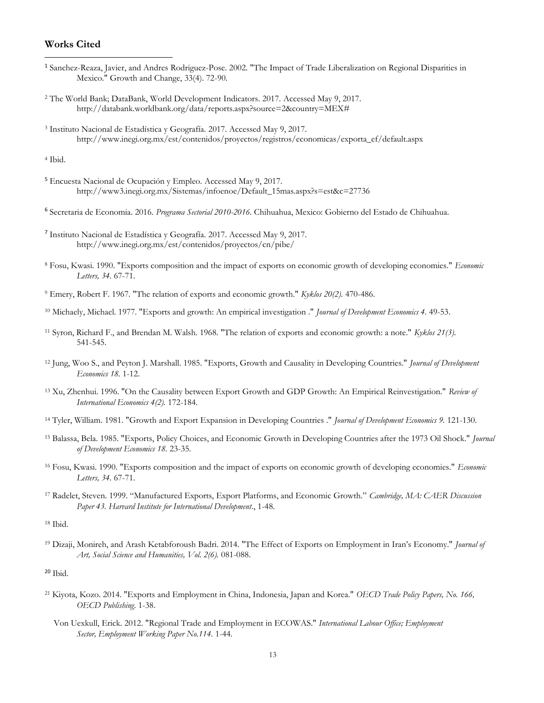## **Works Cited**

 $\overline{a}$ 

- <sup>1</sup> Sanchez-Reaza, Javier, and Andres Rodriguez-Pose. 2002. "The Impact of Trade Liberalization on Regional Disparities in Mexico." Growth and Change, 33(4). 72-90.
- <sup>2</sup> The World Bank; DataBank, World Development Indicators. 2017. Accessed May 9, 2017. http://databank.worldbank.org/data/reports.aspx?source=2&country=MEX#
- <sup>3</sup> Instituto Nacional de Estadística y Geografía. 2017. Accessed May 9, 2017. http://www.inegi.org.mx/est/contenidos/proyectos/registros/economicas/exporta\_ef/default.aspx

<sup>4</sup> Ibid.

- <sup>5</sup> Encuesta Nacional de Ocupación y Empleo. Accessed May 9, 2017. http://www3.inegi.org.mx/Sistemas/infoenoe/Default\_15mas.aspx?s=est&c=27736
- <sup>6</sup> Secretaria de Economia. 2016. *Programa Sectorial 2010-2016.* Chihuahua, Mexico: Gobierno del Estado de Chihuahua.
- 7 Instituto Nacional de Estadística y Geografía. 2017. Accessed May 9, 2017. http://www.inegi.org.mx/est/contenidos/proyectos/cn/pibe/
- <sup>8</sup> Fosu, Kwasi. 1990. "Exports composition and the impact of exports on economic growth of developing economies." *Economic Letters, 34.* 67-71.
- <sup>9</sup> Emery, Robert F. 1967. "The relation of exports and economic growth." *Kyklos 20(2).* 470-486.
- <sup>10</sup> Michaely, Michael. 1977. "Exports and growth: An empirical investigation ." *Journal of Development Economics 4.* 49-53.
- <sup>11</sup> Syron, Richard F., and Brendan M. Walsh. 1968. "The relation of exports and economic growth: a note." *Kyklos 21(3).* 541-545.
- <sup>12</sup> Jung, Woo S., and Peyton J. Marshall. 1985. "Exports, Growth and Causality in Developing Countries." *Journal of Development Economics 18.* 1-12.
- <sup>13</sup> Xu, Zhenhui. 1996. "On the Causality between Export Growth and GDP Growth: An Empirical Reinvestigation." *Review of International Economics 4(2).* 172-184.
- <sup>14</sup> Tyler, William. 1981. "Growth and Export Expansion in Developing Countries ." *Journal of Development Economics 9.* 121-130.
- <sup>15</sup> Balassa, Bela. 1985. "Exports, Policy Choices, and Economic Growth in Developing Countries after the 1973 Oil Shock." *Journal of Development Economics 18.* 23-35.
- <sup>16</sup> Fosu, Kwasi. 1990. "Exports composition and the impact of exports on economic growth of developing economies." *Economic Letters, 34.* 67-71.
- <sup>17</sup> Radelet, Steven. 1999. "Manufactured Exports, Export Platforms, and Economic Growth." *Cambridge, MA: CAER Discussion Paper 43. Harvard Institute for International Development*., 1-48.

<sup>18</sup> Ibid.

<sup>19</sup> Dizaji, Monireh, and Arash Ketabforoush Badri. 2014. "The Effect of Exports on Employment in Iran's Economy." *Journal of Art, Social Science and Humanities, Vol. 2(6).* 081-088.

- <sup>21</sup> Kiyota, Kozo. 2014. "Exports and Employment in China, Indonesia, Japan and Korea." *OECD Trade Policy Papers, No. 166, OECD Publishing*. 1-38.
	- Von Uexkull, Erick. 2012. "Regional Trade and Employment in ECOWAS." *International Labour Office; Employment Sector, Employment Working Paper No.114.* 1-44.

 $20$  Ibid.